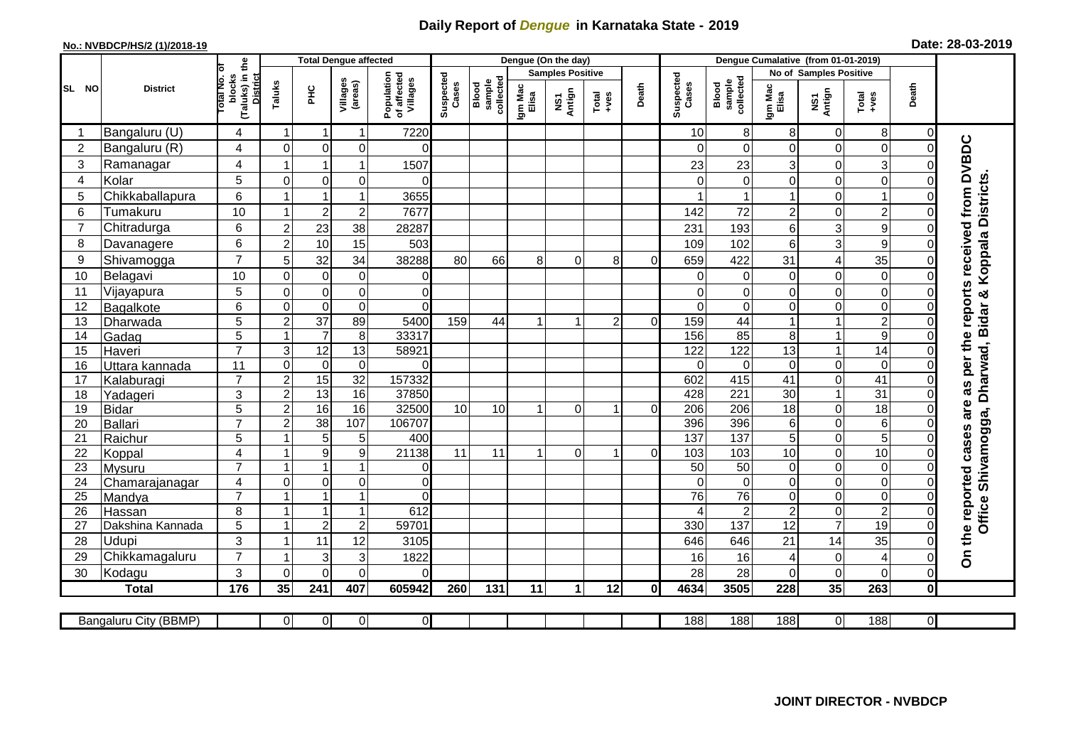## **Daily Report of** *Dengue* **in Karnataka State - 2019**

## **No.: NVBDCP/HS/2 (1)/2018-19 Date: 28-03-2019**

|                |                            |                                                              | <b>Total Dengue affected</b> |                         |                     |                                       |                    |                              |                  | Dengue (On the day)     |                                                              |          |                    |                              |                     |                            |                                    |                |                                        |
|----------------|----------------------------|--------------------------------------------------------------|------------------------------|-------------------------|---------------------|---------------------------------------|--------------------|------------------------------|------------------|-------------------------|--------------------------------------------------------------|----------|--------------------|------------------------------|---------------------|----------------------------|------------------------------------|----------------|----------------------------------------|
|                |                            |                                                              |                              |                         |                     |                                       |                    |                              |                  | <b>Samples Positive</b> |                                                              |          |                    |                              |                     | No of Samples Positive     |                                    |                |                                        |
| SL NO          | <b>District</b>            | (Taluks) in the<br>rotal No. of<br>blocks<br><b>District</b> | Taluks                       | ΞÉ                      | Villages<br>(areas) | Population<br>of affected<br>Villages | Suspected<br>Cases | sample<br>collected<br>Blood | Igm Mac<br>Elisa | NS1<br>Antign           | $\begin{array}{c}\n\text{Total} \\ \text{Area}\n\end{array}$ | Death    | Suspected<br>Cases | sample<br>collected<br>Blood | Igm Mac<br>Elisa    | NS1<br>Antign              | $Tota$<br>$+ves$                   | Death          |                                        |
|                | Bangaluru (U)              | 4                                                            | -1                           | $\overline{\mathbf{1}}$ | 1                   | 7220                                  |                    |                              |                  |                         |                                                              |          | 10                 | 8                            | 8                   | $\mathbf 0$                | 8                                  | $\overline{0}$ |                                        |
| $\overline{2}$ | Bangaluru (R)              | 4                                                            | $\Omega$                     | $\mathbf 0$             | 0                   | $\Omega$                              |                    |                              |                  |                         |                                                              |          | ∩                  | $\Omega$                     | 0                   | $\Omega$                   | $\mathbf 0$                        | $\Omega$       |                                        |
| 3              | Ramanagar                  | 4                                                            |                              | $\overline{1}$          | 1                   | 1507                                  |                    |                              |                  |                         |                                                              |          | 23                 | 23                           | 3                   | $\mathbf 0$                | $\mathbf{3}$                       |                | as per the reports received from DVBDC |
| 4              | Kolar                      | 5                                                            | $\mathbf 0$                  | $\mathbf 0$             | 0                   | $\Omega$                              |                    |                              |                  |                         |                                                              |          |                    | $\mathbf 0$                  | 0                   | $\mathbf 0$                | $\mathbf 0$                        | $\Omega$       |                                        |
| 5              | Chikkaballapura            | 6                                                            |                              | $\overline{1}$          | 1                   | 3655                                  |                    |                              |                  |                         |                                                              |          |                    |                              | 1                   | $\overline{0}$             | $\mathbf{1}$                       | 0              |                                        |
| 6              | Tumakuru                   | 10                                                           |                              | $\overline{2}$          | $\overline{c}$      | 7677                                  |                    |                              |                  |                         |                                                              |          | 142                | 72                           | $\overline{c}$      | $\mathbf 0$                | $\overline{c}$                     | 0              |                                        |
| $\overline{7}$ | Chitradurga                | 6                                                            | $\overline{c}$               | 23                      | 38                  | 28287                                 |                    |                              |                  |                         |                                                              |          | 231                | 193                          | 6                   | 3                          | 9                                  | $\Omega$       |                                        |
| 8              | Davanagere                 | 6                                                            | $\overline{2}$               | 10                      | 15                  | 503                                   |                    |                              |                  |                         |                                                              |          | 109                | 102                          | 6                   | 3                          | 9                                  | 0              |                                        |
| 9              | Shivamogga                 | $\overline{7}$                                               | 5                            | 32                      | 34                  | 38288                                 | 80                 | 66                           | 8                | $\Omega$                | 8                                                            | $\Omega$ | 659                | 422                          | 31                  | 4                          | 35                                 | 0              | Koppala Districts                      |
| 10             | Belagavi                   | 10                                                           | $\mathbf 0$                  | $\mathbf 0$             | $\pmb{0}$           | 0                                     |                    |                              |                  |                         |                                                              |          |                    | 0                            | 0                   | $\mathbf 0$                | $\mathbf 0$                        | 0              |                                        |
| 11             | Vijayapura                 | 5                                                            | $\mathbf 0$                  | $\boldsymbol{0}$        | $\mathbf 0$         | $\mathbf 0$                           |                    |                              |                  |                         |                                                              |          | 0                  | $\mathbf 0$                  | 0                   | $\boldsymbol{0}$           | $\mathbf 0$                        | 0              |                                        |
| 12             | Bagalkote                  | 6                                                            | $\Omega$                     | $\mathbf 0$             | $\overline{0}$      | $\Omega$                              |                    |                              |                  |                         |                                                              |          | $\Omega$           | $\Omega$                     | $\Omega$            | $\Omega$                   | $\overline{0}$                     | $\Omega$       |                                        |
| 13             | Dharwada                   | 5                                                            | $\overline{2}$               | $\overline{37}$         | 89                  | 5400                                  | 159                | 44                           | $\mathbf 1$      | 1                       | 2                                                            | $\Omega$ | 159                | 44                           | 1                   | $\mathbf{1}$               | $\overline{2}$                     | $\Omega$       | Office Shivamogga, Dharwad, Bidar &    |
| 14             | Gadag                      | $\overline{5}$                                               |                              | $\overline{7}$          | 8                   | 33317                                 |                    |                              |                  |                         |                                                              |          | 156                | 85                           | 8                   | $\mathbf{1}$               | $\overline{9}$                     | $\Omega$       |                                        |
| 15             | Haveri                     | $\overline{7}$                                               | $\mathsf 3$                  | 12                      | 13                  | 58921                                 |                    |                              |                  |                         |                                                              |          | 122                | 122                          | 13                  | $\mathbf{1}$               | $\overline{14}$                    | 0              |                                        |
| 16             | Uttara kannada             | 11                                                           | $\mathbf 0$                  | 0                       | $\pmb{0}$           | $\Omega$                              |                    |                              |                  |                         |                                                              |          | ∩                  | $\Omega$                     | $\Omega$            | $\mathbf 0$                | $\mathbf 0$                        | $\Omega$       |                                        |
| 17             | Kalaburagi                 | $\overline{7}$                                               | $\overline{2}$               | 15                      | $\overline{32}$     | 157332                                |                    |                              |                  |                         |                                                              |          | 602                | 415                          | 41                  | $\overline{0}$             | $\overline{41}$                    | $\Omega$       |                                        |
| 18             | Yadageri                   | 3                                                            | $\overline{2}$               | 13                      | 16                  | 37850                                 |                    |                              |                  |                         |                                                              |          | 428                | 221                          | 30                  | $\mathbf{1}$               | 31                                 | 0              |                                        |
| 19             | <b>Bidar</b>               | $\overline{5}$                                               | $\overline{2}$               | 16                      | 16                  | 32500                                 | 10                 | 10                           |                  | $\Omega$                | ٢                                                            | $\Omega$ | $\overline{206}$   | $\overline{206}$             | $\overline{18}$     | $\mathbf 0$                | 18                                 | $\Omega$       | are                                    |
| 20             | Ballari                    | $\overline{7}$                                               | $\overline{2}$               | $\overline{38}$         | 107                 | 106707                                |                    |                              |                  |                         |                                                              |          | 396                | 396                          | 6                   | $\pmb{0}$                  | 6                                  | 0              |                                        |
| 21             | Raichur                    | 5                                                            |                              | 5                       | 5                   | 400                                   |                    |                              |                  |                         |                                                              |          | 137                | 137                          | $\overline{5}$      | $\mathbf 0$                | $\overline{5}$                     | $\Omega$       |                                        |
| 22             | Koppal                     | 4                                                            |                              | $9\,$                   | $\boldsymbol{9}$    | 21138                                 | 11                 | 11                           |                  | $\Omega$                | 1                                                            | $\Omega$ | 103                | 103                          | 10                  | $\mathbf 0$                | 10                                 | 0              |                                        |
| 23             | Mysuru                     | $\overline{7}$                                               |                              | 1                       | 1                   | 0                                     |                    |                              |                  |                         |                                                              |          | $\overline{50}$    | 50                           | 0                   | $\mathbf 0$                | $\boldsymbol{0}$                   | $\Omega$       |                                        |
| 24             | Chamarajanagar             | 4<br>$\overline{7}$                                          | $\mathbf 0$                  | 0<br>1                  | 0<br>1              | 0<br>$\Omega$                         |                    |                              |                  |                         |                                                              |          | $\Omega$           | $\mathbf 0$                  | 0                   | 0                          | $\overline{0}$                     | $\overline{0}$ |                                        |
| 25<br>26       | Mandya                     | 8                                                            |                              | $\overline{\mathbf{1}}$ | 1                   | 612                                   |                    |                              |                  |                         |                                                              |          | 76                 | 76<br>$\overline{2}$         | 0<br>$\overline{c}$ | $\mathbf 0$<br>$\mathbf 0$ | $\boldsymbol{0}$<br>$\overline{2}$ | $\Omega$<br>0  |                                        |
| 27             | Hassan<br>Dakshina Kannada | 5                                                            |                              | $\overline{2}$          | $\overline{2}$      | 59701                                 |                    |                              |                  |                         |                                                              |          | 330                | 137                          | $\overline{12}$     | $\overline{7}$             | $\overline{19}$                    | $\Omega$       |                                        |
| 28             | <b>Udupi</b>               | 3                                                            |                              | 11                      | 12                  | 3105                                  |                    |                              |                  |                         |                                                              |          | 646                | 646                          | 21                  | 14                         | 35                                 | 0              |                                        |
| 29             | Chikkamagaluru             | $\overline{7}$                                               |                              | 3                       | 3                   | 1822                                  |                    |                              |                  |                         |                                                              |          | 16                 | 16                           | 4                   | $\mathbf 0$                | $\overline{4}$                     | 0              | On the reported cases                  |
| 30             | Kodagu                     | 3                                                            | $\mathbf 0$                  | $\mathbf 0$             | $\mathbf 0$         | $\Omega$                              |                    |                              |                  |                         |                                                              |          | 28                 | 28                           | 0                   | $\mathbf 0$                | $\mathbf 0$                        | 0              |                                        |
|                | <b>Total</b>               | 176                                                          | 35                           | 241                     | 407                 | 605942                                | 260                | 131                          | 11               | $\mathbf{1}$            | 12                                                           | 0l       | 4634               | 3505                         | 228                 | 35                         | 263                                | $\mathbf{0}$   |                                        |
|                |                            |                                                              |                              |                         |                     |                                       |                    |                              |                  |                         |                                                              |          |                    |                              |                     |                            |                                    |                |                                        |
|                | Bangaluru City (BBMP)      |                                                              | $\overline{0}$               | $\overline{0}$          | 0                   | $\overline{0}$                        |                    |                              |                  |                         |                                                              |          | 188                | 188                          | 188                 | $\overline{0}$             | 188                                | $\overline{0}$ |                                        |